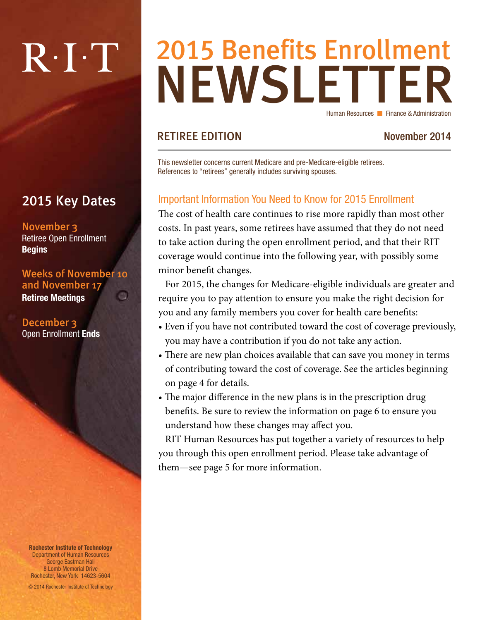# $R \cdot I \cdot T$

## 2015 Key Dates

November 3 Retiree Open Enrollment **Begins** 

#### Weeks of November 10 and November 17 ch.

Retiree Meetings

December 3 Open Enrollment Ends

Rochester Institute of Technology Department of Human Resources George Eastman Hall 8 Lomb Memorial Drive Rochester, New York 14623-5604

© 2014 Rochester Institute of Technology

## NEWSLETTER 2015 Benefits Enrollment Human Resources **n** Finance & Administration

## RETIREE EDITION November 2014

This newsletter concerns current Medicare and pre-Medicare-eligible retirees. References to "retirees" generally includes surviving spouses.

## Important Information You Need to Know for 2015 Enrollment

The cost of health care continues to rise more rapidly than most other costs. In past years, some retirees have assumed that they do not need to take action during the open enrollment period, and that their RIT coverage would continue into the following year, with possibly some minor benefit changes.

For 2015, the changes for Medicare-eligible individuals are greater and require you to pay attention to ensure you make the right decision for you and any family members you cover for health care benefits:

- Even if you have not contributed toward the cost of coverage previously, you may have a contribution if you do not take any action.
- There are new plan choices available that can save you money in terms of contributing toward the cost of coverage. See the articles beginning on page 4 for details.
- The major difference in the new plans is in the prescription drug benefits. Be sure to review the information on page 6 to ensure you understand how these changes may affect you.

RIT Human Resources has put together a variety of resources to help you through this open enrollment period. Please take advantage of them—see page 5 for more information.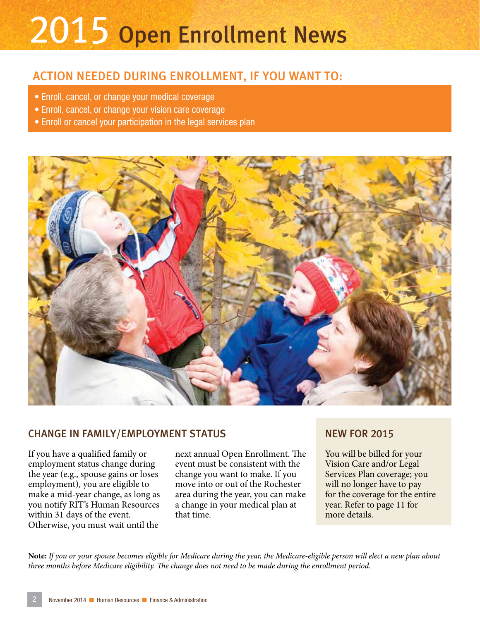# 2015 Open Enrollment News

## ACTION NEEDED DURING ENROLLMENT, IF YOU WANT TO:

- Enroll, cancel, or change your medical coverage
- Enroll, cancel, or change your vision care coverage
- Enroll or cancel your participation in the legal services plan



### CHANGE IN FAMILY/EMPLOYMENT STATUS

If you have a qualified family or employment status change during the year (e.g., spouse gains or loses employment), you are eligible to make a mid-year change, as long as you notify RIT's Human Resources within 31 days of the event. Otherwise, you must wait until the

next annual Open Enrollment. The event must be consistent with the change you want to make. If you move into or out of the Rochester area during the year, you can make a change in your medical plan at that time.

### NEW FOR 2015

You will be billed for your Vision Care and/or Legal Services Plan coverage; you will no longer have to pay for the coverage for the entire year. Refer to page 11 for more details.

**Note:** *If you or your spouse becomes eligible for Medicare during the year, the Medicare-eligible person will elect a new plan about three months before Medicare eligibility. The change does not need to be made during the enrollment period.*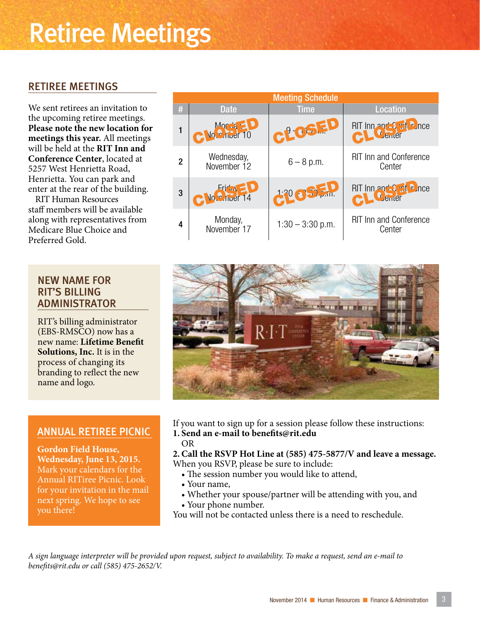## Retiree Meetings

### RETIREE MEETINGS

We sent retirees an invitation to the upcoming retiree meetings. **Please note the new location for meetings this year.** All meetings will be held at the **RIT Inn and Conference Center**, located at 5257 West Henrietta Road, Henrietta. You can park and enter at the rear of the building.

RIT Human Resources staff members will be available along with representatives from Medicare Blue Choice and Preferred Gold.

#### NEW NAME FOR RIT'S BILLING ADMINISTRATOR

RIT's billing administrator (EBS-RMSCO) now has a new name: **Lifetime Benefit Solutions, Inc.** It is in the process of changing its branding to reflect the new name and logo.

#### ANNUAL RETIREE PICNIC

**Gordon Field House, Wednesday, June 13, 2015.** Mark your calendars for the Annual RITiree Picnic. Look for your invitation in the mail next spring. We hope to see you there!

| <b>Meeting Schedule</b> |                           |                    |                                         |  |  |  |
|-------------------------|---------------------------|--------------------|-----------------------------------------|--|--|--|
| #                       | <b>Date</b>               | <b>Time</b>        | <b>Location</b>                         |  |  |  |
| 1                       | Mortia - D                | CLOSED             | RIT Inn and 3 rat P nce                 |  |  |  |
| 2                       | Wednesday,<br>November 12 | $6 - 8 p.m.$       | <b>RIT Inn and Conference</b><br>Center |  |  |  |
| 3                       | C Vo Chief 14             | <b>12009EP</b>     | RIT Inn and Sunt P nce                  |  |  |  |
| 4                       | Monday,<br>November 17    | $1:30 - 3:30$ p.m. | <b>RIT Inn and Conference</b><br>Center |  |  |  |



If you want to sign up for a session please follow these instructions: **1. Send an e-mail to benefits@rit.edu**

OR

**2.Call the RSVP Hot Line at (585) 475-5877/V and leave a message.** When you RSVP, please be sure to include:

- The session number you would like to attend,
- Your name,
- Whether your spouse/partner will be attending with you, and
- Your phone number.
- You will not be contacted unless there is a need to reschedule.

*A sign language interpreter will be provided upon request, subject to availability. To make a request, send an e-mail to benefits@rit.edu or call (585) 475-2652/V.*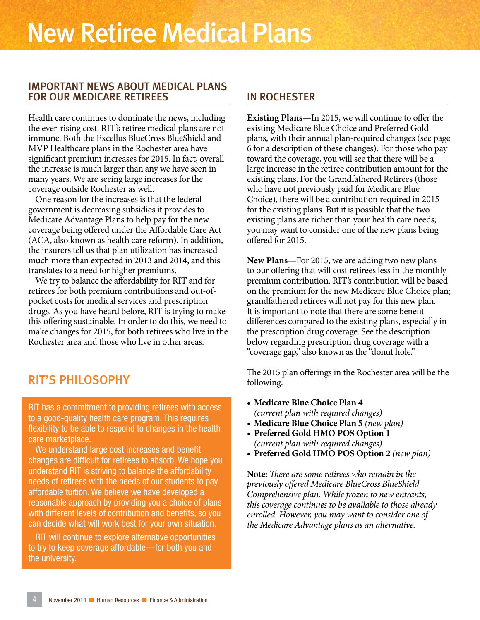#### IMPORTANT NEWS ABOUT MEDICAL PLANS FOR OUR MEDICARE RETIREES

Health care continues to dominate the news, including the ever-rising cost. RIT's retiree medical plans are not immune. Both the Excellus BlueCross BlueShield and MVP Healthcare plans in the Rochester area have significant premium increases for 2015. In fact, overall the increase is much larger than any we have seen in many years. We are seeing large increases for the coverage outside Rochester as well.

One reason for the increases is that the federal government is decreasing subsidies it provides to Medicare Advantage Plans to help pay for the new coverage being offered under the Affordable Care Act (ACA, also known as health care reform). In addition, the insurers tell us that plan utilization has increased much more than expected in 2013 and 2014, and this translates to a need for higher premiums.

We try to balance the affordability for RIT and for retirees for both premium contributions and out-ofpocket costs for medical services and prescription drugs. As you have heard before, RIT is trying to make this offering sustainable. In order to do this, we need to make changes for 2015, for both retirees who live in the Rochester area and those who live in other areas.

## RIT'S PHILOSOPHY

RIT has a commitment to providing retirees with access to a good-quality health care program. This requires flexibility to be able to respond to changes in the health care marketplace.

We understand large cost increases and benefit changes are difficult for retirees to absorb. We hope you understand RIT is striving to balance the affordability needs of retirees with the needs of our students to pay affordable tuition. We believe we have developed a reasonable approach by providing you a choice of plans with different levels of contribution and benefits, so you can decide what will work best for your own situation.

RIT will continue to explore alternative opportunities to try to keep coverage affordable—for both you and the university.

### IN ROCHESTER

**Existing Plans**—In 2015, we will continue to offer the existing Medicare Blue Choice and Preferred Gold plans, with their annual plan-required changes (see page 6 for a description of these changes). For those who pay toward the coverage, you will see that there will be a large increase in the retiree contribution amount for the existing plans. For the Grandfathered Retirees (those who have not previously paid for Medicare Blue Choice), there will be a contribution required in 2015 for the existing plans. But it is possible that the two existing plans are richer than your health care needs; you may want to consider one of the new plans being offered for 2015.

**New Plans**—For 2015, we are adding two new plans to our offering that will cost retirees less in the monthly premium contribution. RIT's contribution will be based on the premium for the new Medicare Blue Choice plan; grandfathered retirees will not pay for this new plan. It is important to note that there are some benefit differences compared to the existing plans, especially in the prescription drug coverage. See the description below regarding prescription drug coverage with a "coverage gap," also known as the "donut hole."

The 2015 plan offerings in the Rochester area will be the following:

- **• Medicare Blue Choice Plan 4**  *(current plan with required changes)*
- **• Medicare Blue Choice Plan 5** *(new plan)*
- **• Preferred Gold HMO POS Option 1**  *(current plan with required changes)*
- **• Preferred Gold HMO POS Option 2** *(new plan)*

**Note:** *There are some retirees who remain in the previously offered Medicare BlueCross BlueShield Comprehensive plan. While frozen to new entrants, this coverage continues to be available to those already enrolled. However, you may want to consider one of the Medicare Advantage plans as an alternative.*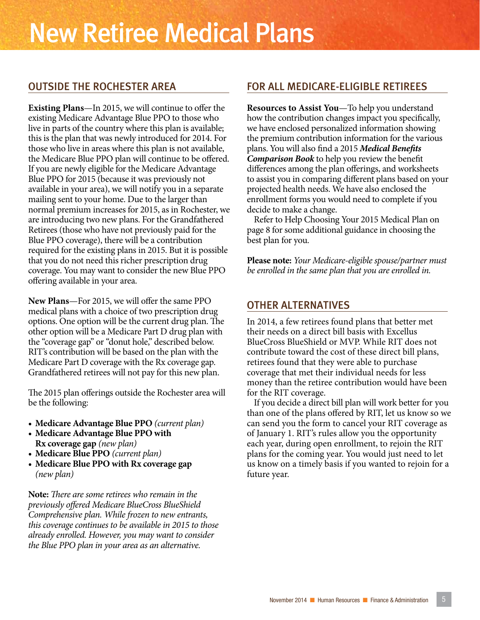### OUTSIDE THE ROCHESTER AREA

**Existing Plans**—In 2015, we will continue to offer the existing Medicare Advantage Blue PPO to those who live in parts of the country where this plan is available; this is the plan that was newly introduced for 2014. For those who live in areas where this plan is not available, the Medicare Blue PPO plan will continue to be offered. If you are newly eligible for the Medicare Advantage Blue PPO for 2015 (because it was previously not available in your area), we will notify you in a separate mailing sent to your home. Due to the larger than normal premium increases for 2015, as in Rochester, we are introducing two new plans. For the Grandfathered Retirees (those who have not previously paid for the Blue PPO coverage), there will be a contribution required for the existing plans in 2015. But it is possible that you do not need this richer prescription drug coverage. You may want to consider the new Blue PPO offering available in your area.

**New Plans**—For 2015, we will offer the same PPO medical plans with a choice of two prescription drug options. One option will be the current drug plan. The other option will be a Medicare Part D drug plan with the "coverage gap" or "donut hole," described below. RIT's contribution will be based on the plan with the Medicare Part D coverage with the Rx coverage gap. Grandfathered retirees will not pay for this new plan.

The 2015 plan offerings outside the Rochester area will be the following:

- **• Medicare Advantage Blue PPO** *(current plan)*
- **• Medicare Advantage Blue PPO with Rx coverage gap** *(new plan)*
- **• Medicare Blue PPO** *(current plan)*
- **• Medicare Blue PPO with Rx coverage gap** *(new plan)*

**Note:** *There are some retirees who remain in the previously offered Medicare BlueCross BlueShield Comprehensive plan. While frozen to new entrants, this coverage continues to be available in 2015 to those already enrolled. However, you may want to consider the Blue PPO plan in your area as an alternative.*

### FOR ALL MEDICARE-ELIGIBLE RETIREES

**Resources to Assist You**—To help you understand how the contribution changes impact you specifically, we have enclosed personalized information showing the premium contribution information for the various plans. You will also find a 2015 *Medical Benefits Comparison Book* to help you review the benefit differences among the plan offerings, and worksheets to assist you in comparing different plans based on your projected health needs. We have also enclosed the enrollment forms you would need to complete if you decide to make a change.

Refer to Help Choosing Your 2015 Medical Plan on page 8 for some additional guidance in choosing the best plan for you.

**Please note:** *Your Medicare-eligible spouse/partner must be enrolled in the same plan that you are enrolled in.*

### OTHER ALTERNATIVES

In 2014, a few retirees found plans that better met their needs on a direct bill basis with Excellus BlueCross BlueShield or MVP. While RIT does not contribute toward the cost of these direct bill plans, retirees found that they were able to purchase coverage that met their individual needs for less money than the retiree contribution would have been for the RIT coverage.

If you decide a direct bill plan will work better for you than one of the plans offered by RIT, let us know so we can send you the form to cancel your RIT coverage as of January 1. RIT's rules allow you the opportunity each year, during open enrollment, to rejoin the RIT plans for the coming year. You would just need to let us know on a timely basis if you wanted to rejoin for a future year.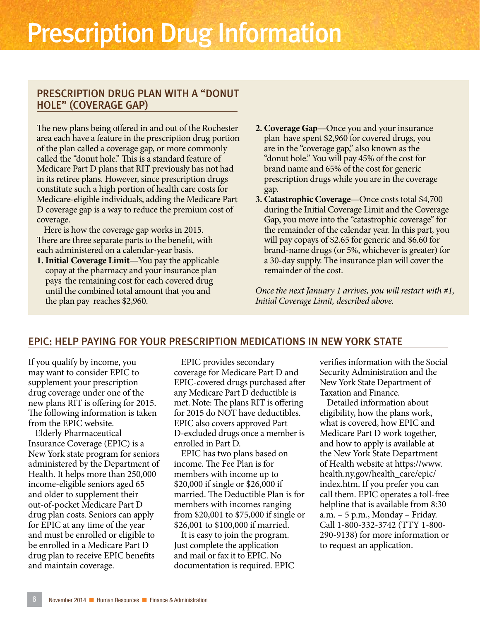## Prescription Drug Information

#### PRESCRIPTION DRUG PLAN WITH A "DONUT HOLE" (COVERAGE GAP)

The new plans being offered in and out of the Rochester area each have a feature in the prescription drug portion of the plan called a coverage gap, or more commonly called the "donut hole." This is a standard feature of Medicare Part D plans that RIT previously has not had in its retiree plans. However, since prescription drugs constitute such a high portion of health care costs for Medicare-eligible individuals, adding the Medicare Part D coverage gap is a way to reduce the premium cost of coverage.

Here is how the coverage gap works in 2015. There are three separate parts to the benefit, with each administered on a calendar-year basis.

**1. Initial Coverage Limit**—You pay the applicable copay at the pharmacy and your insurance plan pays the remaining cost for each covered drug until the combined total amount that you and the plan pay reaches \$2,960.

- **2. Coverage Gap**—Once you and your insurance plan have spent \$2,960 for covered drugs, you are in the "coverage gap," also known as the "donut hole." You will pay 45% of the cost for brand name and 65% of the cost for generic prescription drugs while you are in the coverage gap.
- **3. Catastrophic Coverage**—Once costs total \$4,700 during the Initial Coverage Limit and the Coverage Gap, you move into the "catastrophic coverage" for the remainder of the calendar year. In this part, you will pay copays of \$2.65 for generic and \$6.60 for brand-name drugs (or 5%, whichever is greater) for a 30-day supply. The insurance plan will cover the remainder of the cost.

*Once the next January 1 arrives, you will restart with #1, Initial Coverage Limit, described above.*

#### EPIC: HELP PAYING FOR YOUR PRESCRIPTION MEDICATIONS IN NEW YORK STATE

If you qualify by income, you may want to consider EPIC to supplement your prescription drug coverage under one of the new plans RIT is offering for 2015. The following information is taken from the EPIC website.

Elderly Pharmaceutical Insurance Coverage (EPIC) is a New York state program for seniors administered by the Department of Health. It helps more than 250,000 income-eligible seniors aged 65 and older to supplement their out-of-pocket Medicare Part D drug plan costs. Seniors can apply for EPIC at any time of the year and must be enrolled or eligible to be enrolled in a Medicare Part D drug plan to receive EPIC benefits and maintain coverage.

EPIC provides secondary coverage for Medicare Part D and EPIC-covered drugs purchased after any Medicare Part D deductible is met. Note: The plans RIT is offering for 2015 do NOT have deductibles. EPIC also covers approved Part D-excluded drugs once a member is enrolled in Part D.

EPIC has two plans based on income. The Fee Plan is for members with income up to \$20,000 if single or \$26,000 if married. The Deductible Plan is for members with incomes ranging from \$20,001 to \$75,000 if single or \$26,001 to \$100,000 if married.

It is easy to join the program. Just complete the application and mail or fax it to EPIC. No documentation is required. EPIC verifies information with the Social Security Administration and the New York State Department of Taxation and Finance.

Detailed information about eligibility, how the plans work, what is covered, how EPIC and Medicare Part D work together, and how to apply is available at the New York State Department of Health website at https://www. health.ny.gov/health\_care/epic/ index.htm. If you prefer you can call them. EPIC operates a toll-free helpline that is available from 8:30 a.m. – 5 p.m., Monday – Friday. Call 1-800-332-3742 (TTY 1-800- 290-9138) for more information or to request an application.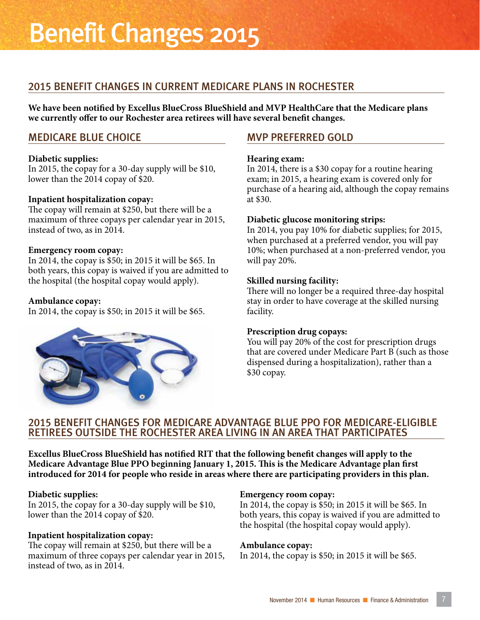## Benefit Changes 2015

### 2015 BENEFIT CHANGES IN CURRENT MEDICARE PLANS IN ROCHESTER

**We have been notified by Excellus BlueCross BlueShield and MVP HealthCare that the Medicare plans we currently offer to our Rochester area retirees will have several benefit changes.**

#### MEDICARE BLUE CHOICE

#### **Diabetic supplies:**

In 2015, the copay for a 30-day supply will be \$10, lower than the 2014 copay of \$20.

#### **Inpatient hospitalization copay:**

The copay will remain at \$250, but there will be a maximum of three copays per calendar year in 2015, instead of two, as in 2014.

#### **Emergency room copay:**

In 2014, the copay is \$50; in 2015 it will be \$65. In both years, this copay is waived if you are admitted to the hospital (the hospital copay would apply).

#### **Ambulance copay:**

In 2014, the copay is \$50; in 2015 it will be \$65.



#### MVP PREFERRED GOLD

#### **Hearing exam:**

In 2014, there is a \$30 copay for a routine hearing exam; in 2015, a hearing exam is covered only for purchase of a hearing aid, although the copay remains at \$30.

#### **Diabetic glucose monitoring strips:**

In 2014, you pay 10% for diabetic supplies; for 2015, when purchased at a preferred vendor, you will pay 10%; when purchased at a non-preferred vendor, you will pay 20%.

#### **Skilled nursing facility:**

There will no longer be a required three-day hospital stay in order to have coverage at the skilled nursing facility.

#### **Prescription drug copays:**

You will pay 20% of the cost for prescription drugs that are covered under Medicare Part B (such as those dispensed during a hospitalization), rather than a \$30 copay.

#### 2015 BENEFIT CHANGES FOR MEDICARE ADVANTAGE BLUE PPO FOR MEDICARE-ELIGIBLE RETIREES OUTSIDE THE ROCHESTER AREA LIVING IN AN AREA THAT PARTICIPATES

**Excellus BlueCross BlueShield has notified RIT that the following benefit changes will apply to the Medicare Advantage Blue PPO beginning January 1, 2015. This is the Medicare Advantage plan first introduced for 2014 for people who reside in areas where there are participating providers in this plan.**

#### **Diabetic supplies:**

In 2015, the copay for a 30-day supply will be \$10, lower than the 2014 copay of \$20.

#### **Inpatient hospitalization copay:**

The copay will remain at \$250, but there will be a maximum of three copays per calendar year in 2015, instead of two, as in 2014.

#### **Emergency room copay:**

In 2014, the copay is \$50; in 2015 it will be \$65. In both years, this copay is waived if you are admitted to the hospital (the hospital copay would apply).

#### **Ambulance copay:**

In 2014, the copay is \$50; in 2015 it will be \$65.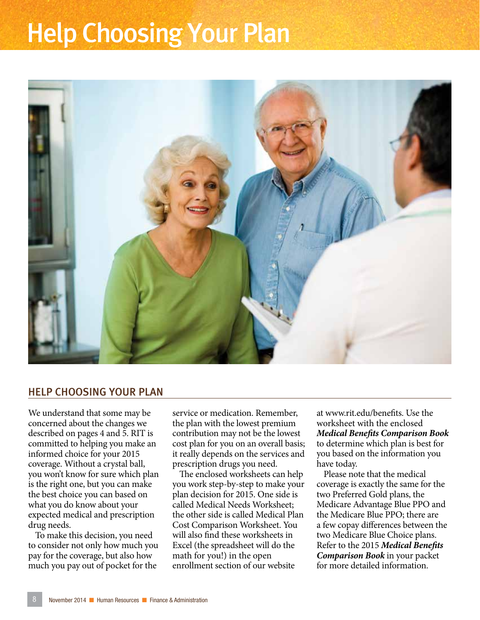## Help Choosing Your Plan



#### HELP CHOOSING YOUR PLAN

We understand that some may be concerned about the changes we described on pages 4 and 5. RIT is committed to helping you make an informed choice for your 2015 coverage. Without a crystal ball, you won't know for sure which plan is the right one, but you can make the best choice you can based on what you do know about your expected medical and prescription drug needs.

To make this decision, you need to consider not only how much you pay for the coverage, but also how much you pay out of pocket for the

service or medication. Remember, the plan with the lowest premium contribution may not be the lowest cost plan for you on an overall basis; it really depends on the services and prescription drugs you need.

The enclosed worksheets can help you work step-by-step to make your plan decision for 2015. One side is called Medical Needs Worksheet; the other side is called Medical Plan Cost Comparison Worksheet. You will also find these worksheets in Excel (the spreadsheet will do the math for you!) in the open enrollment section of our website

at www.rit.edu/benefits. Use the worksheet with the enclosed *Medical Benefits Comparison Book* to determine which plan is best for you based on the information you have today.

Please note that the medical coverage is exactly the same for the two Preferred Gold plans, the Medicare Advantage Blue PPO and the Medicare Blue PPO; there are a few copay differences between the two Medicare Blue Choice plans. Refer to the 2015 *Medical Benefits Comparison Book* in your packet for more detailed information.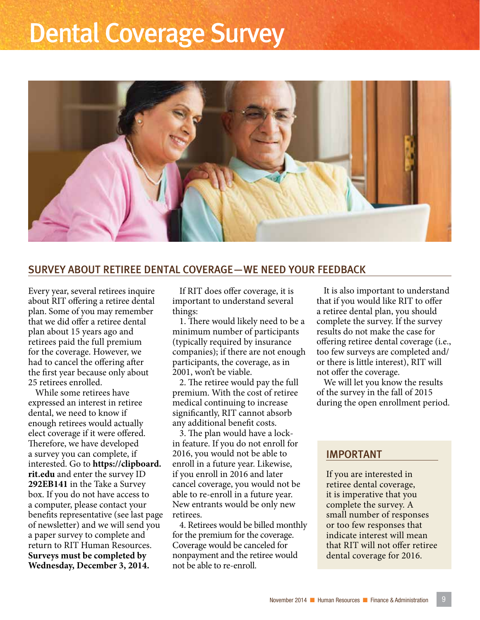## Dental Coverage Survey



#### SURVEY ABOUT RETIREE DENTAL COVERAGE—WE NEED YOUR FEEDBACK

Every year, several retirees inquire about RIT offering a retiree dental plan. Some of you may remember that we did offer a retiree dental plan about 15 years ago and retirees paid the full premium for the coverage. However, we had to cancel the offering after the first year because only about 25 retirees enrolled.

While some retirees have expressed an interest in retiree dental, we need to know if enough retirees would actually elect coverage if it were offered. Therefore, we have developed a survey you can complete, if interested. Go to **https://clipboard. rit.edu** and enter the survey ID **292EB141** in the Take a Survey box. If you do not have access to a computer, please contact your benefits representative (see last page of newsletter) and we will send you a paper survey to complete and return to RIT Human Resources. **Surveys must be completed by Wednesday, December 3, 2014.**

If RIT does offer coverage, it is important to understand several things:

1. There would likely need to be a minimum number of participants (typically required by insurance companies); if there are not enough participants, the coverage, as in 2001, won't be viable.

2. The retiree would pay the full premium. With the cost of retiree medical continuing to increase significantly, RIT cannot absorb any additional benefit costs.

3. The plan would have a lockin feature. If you do not enroll for 2016, you would not be able to enroll in a future year. Likewise, if you enroll in 2016 and later cancel coverage, you would not be able to re-enroll in a future year. New entrants would be only new retirees.

4. Retirees would be billed monthly for the premium for the coverage. Coverage would be canceled for nonpayment and the retiree would not be able to re-enroll.

It is also important to understand that if you would like RIT to offer a retiree dental plan, you should complete the survey. If the survey results do not make the case for offering retiree dental coverage (i.e., too few surveys are completed and/ or there is little interest), RIT will not offer the coverage.

We will let you know the results of the survey in the fall of 2015 during the open enrollment period.

#### IMPORTANT

If you are interested in retiree dental coverage, it is imperative that you complete the survey. A small number of responses or too few responses that indicate interest will mean that RIT will not offer retiree dental coverage for 2016.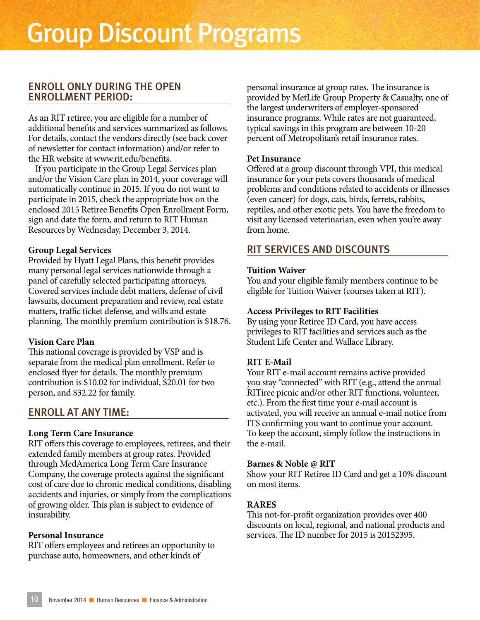#### ENROLL ONLY DURING THE OPEN ENROLLMENT PERIOD:

As an RIT retiree, you are eligible for a number of additional benefits and services summarized as follows. For details, contact the vendors directly (see back cover of newsletter for contact information) and/or refer to the HR website at www.rit.edu/benefits.

If you participate in the Group Legal Services plan and/or the Vision Care plan in 2014, your coverage will automatically continue in 2015. If you do not want to participate in 2015, check the appropriate box on the enclosed 2015 Retiree Benefits Open Enrollment Form, sign and date the form, and return to RIT Human Resources by Wednesday, December 3, 2014.

#### **Group Legal Services**

Provided by Hyatt Legal Plans, this benefit provides many personal legal services nationwide through a panel of carefully selected participating attorneys. Covered services include debt matters, defense of civil lawsuits, document preparation and review, real estate matters, traffic ticket defense, and wills and estate planning. The monthly premium contribution is \$18.76.

#### **Vision Care Plan**

This national coverage is provided by VSP and is separate from the medical plan enrollment. Refer to enclosed flyer for details. The monthly premium contribution is \$10.02 for individual, \$20.01 for two person, and \$32.22 for family.

#### ENROLL AT ANY TIME:

#### **Long Term Care Insurance**

RIT offers this coverage to employees, retirees, and their extended family members at group rates. Provided through MedAmerica Long Term Care Insurance Company, the coverage protects against the significant cost of care due to chronic medical conditions, disabling accidents and injuries, or simply from the complications of growing older. This plan is subject to evidence of insurability.

#### **Personal Insurance**

RIT offers employees and retirees an opportunity to purchase auto, homeowners, and other kinds of

personal insurance at group rates. The insurance is provided by MetLife Group Property & Casualty, one of the largest underwriters of employer-sponsored insurance programs. While rates are not guaranteed, typical savings in this program are between 10-20 percent off Metropolitan's retail insurance rates.

#### **Pet Insurance**

Offered at a group discount through VPI, this medical insurance for your pets covers thousands of medical problems and conditions related to accidents or illnesses (even cancer) for dogs, cats, birds, ferrets, rabbits, reptiles, and other exotic pets. You have the freedom to visit any licensed veterinarian, even when you're away from home.

#### RIT SERVICES AND DISCOUNTS

#### **Tuition Waiver**

You and your eligible family members continue to be eligible for Tuition Waiver (courses taken at RIT).

#### **Access Privileges to RIT Facilities**

By using your Retiree ID Card, you have access privileges to RIT facilities and services such as the Student Life Center and Wallace Library.

#### **RIT E-Mail**

Your RIT e-mail account remains active provided you stay "connected" with RIT (e.g., attend the annual RITiree picnic and/or other RIT functions, volunteer, etc.). From the first time your e-mail account is activated, you will receive an annual e-mail notice from ITS confirming you want to continue your account. To keep the account, simply follow the instructions in the e-mail.

#### **Barnes & Noble @ RIT**

Show your RIT Retiree ID Card and get a 10% discount on most items.

#### **RARES**

This not-for-profit organization provides over 400 discounts on local, regional, and national products and services. The ID number for 2015 is 20152395.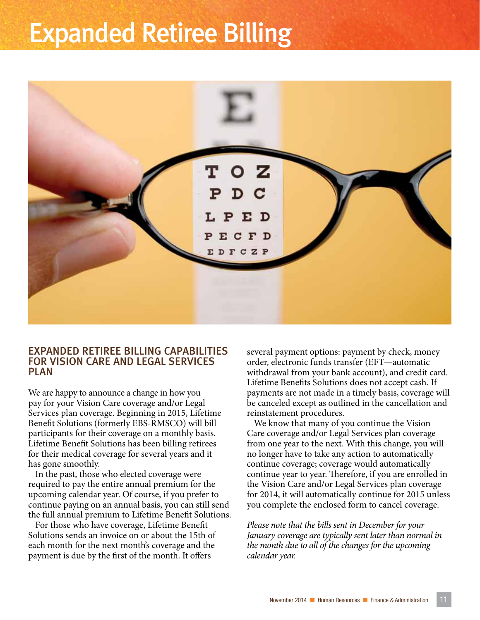## Expanded Retiree Billing



#### EXPANDED RETIREE BILLING CAPABILITIES FOR VISION CARE AND LEGAL SERVICES PLAN

We are happy to announce a change in how you pay for your Vision Care coverage and/or Legal Services plan coverage. Beginning in 2015, Lifetime Benefit Solutions (formerly EBS-RMSCO) will bill participants for their coverage on a monthly basis. Lifetime Benefit Solutions has been billing retirees for their medical coverage for several years and it has gone smoothly.

In the past, those who elected coverage were required to pay the entire annual premium for the upcoming calendar year. Of course, if you prefer to continue paying on an annual basis, you can still send the full annual premium to Lifetime Benefit Solutions.

For those who have coverage, Lifetime Benefit Solutions sends an invoice on or about the 15th of each month for the next month's coverage and the payment is due by the first of the month. It offers

several payment options: payment by check, money order, electronic funds transfer (EFT—automatic withdrawal from your bank account), and credit card. Lifetime Benefits Solutions does not accept cash. If payments are not made in a timely basis, coverage will be canceled except as outlined in the cancellation and reinstatement procedures.

We know that many of you continue the Vision Care coverage and/or Legal Services plan coverage from one year to the next. With this change, you will no longer have to take any action to automatically continue coverage; coverage would automatically continue year to year. Therefore, if you are enrolled in the Vision Care and/or Legal Services plan coverage for 2014, it will automatically continue for 2015 unless you complete the enclosed form to cancel coverage.

*Please note that the bills sent in December for your January coverage are typically sent later than normal in the month due to all of the changes for the upcoming calendar year.*